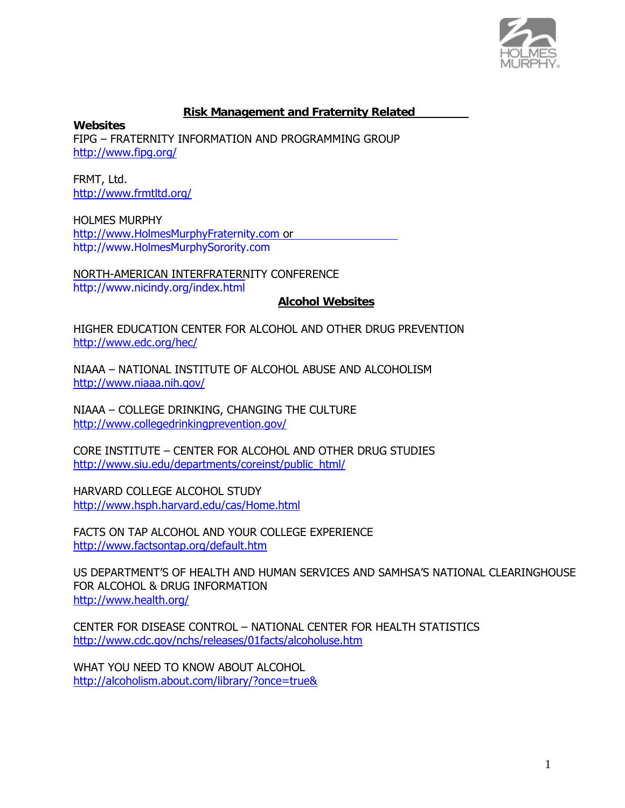

#### **Risk Management and Fraternity Related**

**Websites** FIPG – FRATERNITY INFORMATION AND PROGRAMMING GROUP http://www.fipg.org/

FRMT, Ltd. http://www.frmtltd.org/

HOLMES MURPHY http://www.HolmesMurphyFraternity.com or http://www.HolmesMurphySorority.com

NORTH-AMERICAN INTERFRATERNITY CONFERENCE http://www.nicindy.org/index.html

#### **Alcohol Websites**

HIGHER EDUCATION CENTER FOR ALCOHOL AND OTHER DRUG PREVENTION http://www.edc.org/hec/

NIAAA – NATIONAL INSTITUTE OF ALCOHOL ABUSE AND ALCOHOLISM http://www.niaaa.nih.gov/

NIAAA – COLLEGE DRINKING, CHANGING THE CULTURE http://www.collegedrinkingprevention.gov/

CORE INSTITUTE – CENTER FOR ALCOHOL AND OTHER DRUG STUDIES http://www.siu.edu/departments/coreinst/public\_html/

HARVARD COLLEGE ALCOHOL STUDY http://www.hsph.harvard.edu/cas/Home.html

FACTS ON TAP ALCOHOL AND YOUR COLLEGE EXPERIENCE http://www.factsontap.org/default.htm

US DEPARTMENT'S OF HEALTH AND HUMAN SERVICES AND SAMHSA'S NATIONAL CLEARINGHOUSE FOR ALCOHOL & DRUG INFORMATION http://www.health.org/

CENTER FOR DISEASE CONTROL – NATIONAL CENTER FOR HEALTH STATISTICS http://www.cdc.gov/nchs/releases/01facts/alcoholuse.htm

WHAT YOU NEED TO KNOW ABOUT ALCOHOL http://alcoholism.about.com/library/?once=true&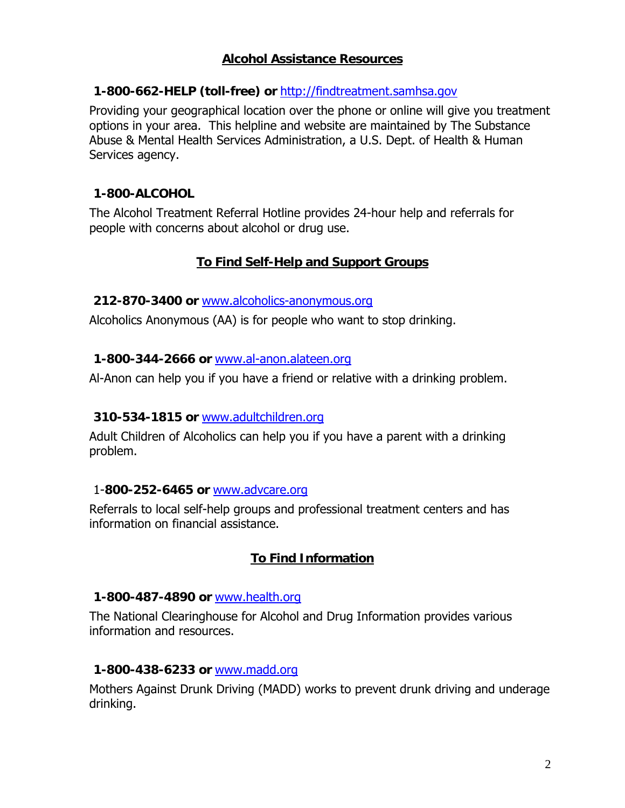# **Alcohol Assistance Resources**

## **1-800-662-HELP (toll-free) or** http://findtreatment.samhsa.gov

Providing your geographical location over the phone or online will give you treatment options in your area. This helpline and website are maintained by The Substance Abuse & Mental Health Services Administration, a U.S. Dept. of Health & Human Services agency.

## **1-800-ALCOHOL**

 The Alcohol Treatment Referral Hotline provides 24-hour help and referrals for people with concerns about alcohol or drug use.

# **To Find Self-Help and Support Groups**

#### **212-870-3400 or** www.alcoholics-anonymous.org

Alcoholics Anonymous (AA) is for people who want to stop drinking.

## **1-800-344-2666 or** www.al-anon.alateen.org

Al-Anon can help you if you have a friend or relative with a drinking problem.

## **310-534-1815 or** www.adultchildren.org

 Adult Children of Alcoholics can help you if you have a parent with a drinking problem.

## 1-**800-252-6465 or** www.advcare.org

 Referrals to local self-help groups and professional treatment centers and has information on financial assistance.

# **To Find Information**

#### **1-800-487-4890 or** www.health.org

 The National Clearinghouse for Alcohol and Drug Information provides various information and resources.

## **1-800-438-6233 or** www.madd.org

 Mothers Against Drunk Driving (MADD) works to prevent drunk driving and underage drinking.